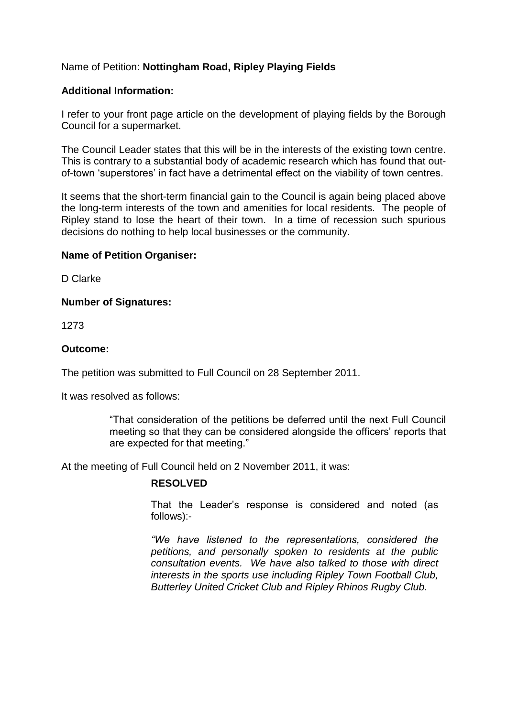# Name of Petition: **Nottingham Road, Ripley Playing Fields**

### **Additional Information:**

I refer to your front page article on the development of playing fields by the Borough Council for a supermarket.

The Council Leader states that this will be in the interests of the existing town centre. This is contrary to a substantial body of academic research which has found that outof-town 'superstores' in fact have a detrimental effect on the viability of town centres.

It seems that the short-term financial gain to the Council is again being placed above the long-term interests of the town and amenities for local residents. The people of Ripley stand to lose the heart of their town. In a time of recession such spurious decisions do nothing to help local businesses or the community.

#### **Name of Petition Organiser:**

D Clarke

#### **Number of Signatures:**

1273

#### **Outcome:**

The petition was submitted to Full Council on 28 September 2011.

It was resolved as follows:

"That consideration of the petitions be deferred until the next Full Council meeting so that they can be considered alongside the officers' reports that are expected for that meeting."

At the meeting of Full Council held on 2 November 2011, it was:

## **RESOLVED**

That the Leader's response is considered and noted (as follows):-

*"We have listened to the representations,considered the petitions, and personally spoken to residents at the public consultation events. We have also talked to those with direct interests in the sports use including Ripley Town Football Club, Butterley United Cricket Club and Ripley Rhinos Rugby Club.*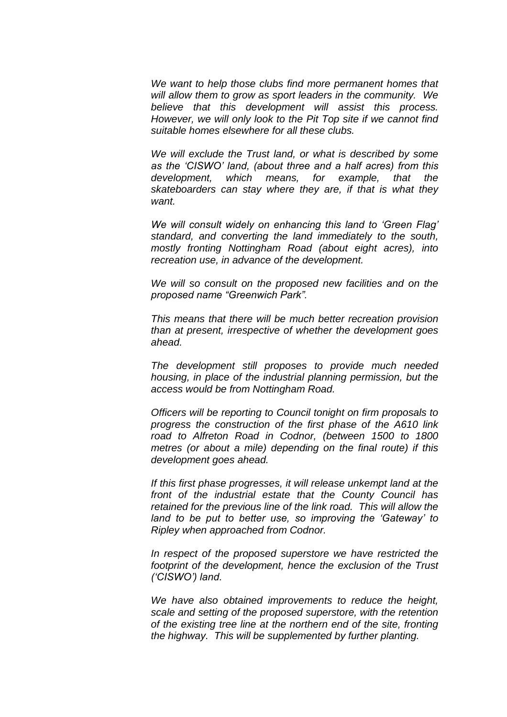*We want to help those clubs find more permanent homes that will allow them to grow as sport leaders in the community. We believe that this development will assist this process. However, we will only look to the Pit Top site if we cannot find suitable homes elsewhere for all these clubs.*

*We will exclude the Trust land, or what is described by some* as the 'CISWO' land, (about three and a half acres) from this *development, which means, for example, that the skateboarders can stay where they are, if that is what they want.*

*We will consult widely on enhancing this land to 'Green Flag' standard, and converting the land immediately to the south, mostly fronting Nottingham Road (about eight acres), into recreation use, in advance of the development.*

*We will so consult on the proposed new facilities and on the proposedname"GreenwichPark".*

*This means that there will be much better recreation provision than at present, irrespective of whether the development goes ahead.*

*The development still proposes to provide much needed housing, in place of the industrial planning permission, but the access would be from Nottingham Road.*

*Officers will be reporting to Council tonight on firm proposals to progress the construction of the first phase of the A610 link road to Alfreton Road in Codnor, (between 1500 to 1800 metres (or about a mile) depending on the final route) if this development goes ahead.*

*If this first phase progresses, it will release unkempt land at the front of the industrial estate that the County Council has retained for the previous line of the link road. This will allow the* land to be put to better use, so improving the 'Gateway' to *Ripley when approached from Codnor.*

*In respect of the proposed superstore we have restricted the footprint of the development, hence the exclusion of the Trust ('CISWO')land.*

*We have also obtained improvements to reduce the height, scale and setting of the proposed superstore, with the retention of the existing tree line at the northern end of the site, fronting the highway. This will be supplemented by further planting.*